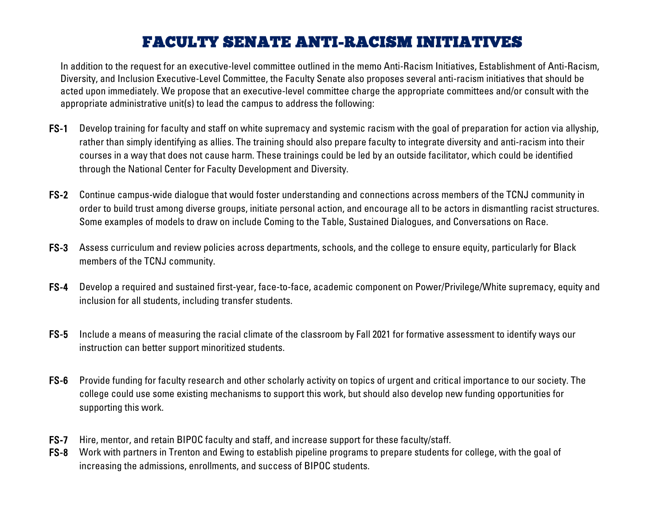## FACULTY SENATE ANTI-RACISM INITIATIVES

In addition to the request for an executive-level committee outlined in the memo Anti-Racism Initiatives, Establishment of Anti-Racism, Diversity, and Inclusion Executive-Level Committee, the Faculty Senate also proposes several anti-racism initiatives that should be acted upon immediately. We propose that an executive-level committee charge the appropriate committees and/or consult with the appropriate administrative unit(s) to lead the campus to address the following:

- FS-1 Develop training for faculty and staff on white supremacy and systemic racism with the goal of preparation for action via allyship, rather than simply identifying as allies. The training should also prepare faculty to integrate diversity and anti-racism into their courses in a way that does not cause harm. These trainings could be led by an outside facilitator, which could be identified through the National Center for Faculty Development and Diversity.
- FS-2 Continue campus-wide dialogue that would foster understanding and connections across members of the TCNJ community in order to build trust among diverse groups, initiate personal action, and encourage all to be actors in dismantling racist structures. Some examples of models to draw on include Coming to the Table, Sustained Dialogues, and Conversations on Race.
- FS-3 Assess curriculum and review policies across departments, schools, and the college to ensure equity, particularly for Black members of the TCNJ community.
- FS-4 Develop a required and sustained first-year, face-to-face, academic component on Power/Privilege/White supremacy, equity and inclusion for all students, including transfer students.
- FS-5 Include a means of measuring the racial climate of the classroom by Fall 2021 for formative assessment to identify ways our instruction can better support minoritized students.
- FS-6 Provide funding for faculty research and other scholarly activity on topics of urgent and critical importance to our society. The college could use some existing mechanisms to support this work, but should also develop new funding opportunities for supporting this work.
- FS-7 Hire, mentor, and retain BIPOC faculty and staff, and increase support for these faculty/staff.
- FS-8 Work with partners in Trenton and Ewing to establish pipeline programs to prepare students for college, with the goal of increasing the admissions, enrollments, and success of BIPOC students.